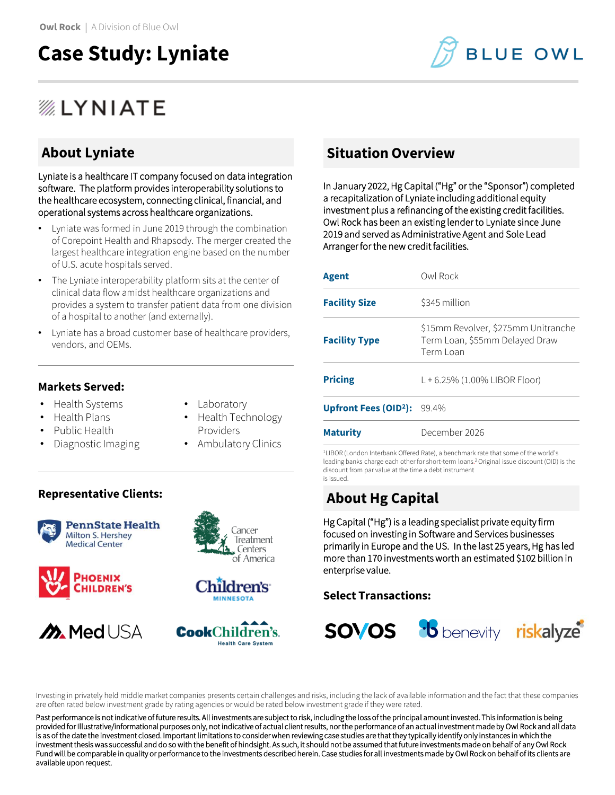## **Case Study: Lyniate**

# **BLUE OWL**

## *ALYNIATE*

## **About Lyniate**

Lyniate is a healthcare IT company focused on data integration software. The platform provides interoperability solutions to the healthcare ecosystem, connecting clinical, financial, and operational systems across healthcare organizations.

- Lyniate was formed in June 2019 through the combination of Corepoint Health and Rhapsody. The merger created the largest healthcare integration engine based on the number of U.S. acute hospitals served.
- The Lyniate interoperability platform sits at the center of clinical data flow amidst healthcare organizations and provides a system to transfer patient data from one division of a hospital to another (and externally).
- Lyniate has a broad customer base of healthcare providers, vendors, and OEMs.

## **Markets Served:**

- Health Systems
- **Laboratory**
- Health Plans
- Public Health
- Diagnostic Imaging
- 
- Health Technology Providers
- Ambulatory Clinics

### **Representative Clients:**













## **Situation Overview**

In January 2022, Hg Capital ("Hg" or the "Sponsor") completed a recapitalization of Lyniate including additional equity investment plus a refinancing of the existing credit facilities. Owl Rock has been an existing lender to Lyniate since June 2019 and served as Administrative Agent and Sole Lead Arranger for the new credit facilities.

| <b>Agent</b>                               | Owl Rock                                                                           |
|--------------------------------------------|------------------------------------------------------------------------------------|
| <b>Facility Size</b>                       | \$345 million                                                                      |
| <b>Facility Type</b>                       | \$15mm Revolver, \$275mm Unitranche<br>Term Loan, \$55mm Delayed Draw<br>Term Loan |
| <b>Pricing</b>                             | L + 6.25% (1.00% LIBOR Floor)                                                      |
| Upfront Fees (OID <sup>2</sup> ): $99.4\%$ |                                                                                    |
| <b>Maturity</b>                            | December 2026                                                                      |

<sup>1</sup>LIBOR (London Interbank Offered Rate), a benchmark rate that some of the world's leading banks charge each other for short-term loans. <sup>2</sup>Original issue discount (OID) is the discount from par value at the time a debt instrument is issued.

## **About Hg Capital**

Hg Capital ("Hg") is a leading specialist private equity firm focused on investing in Software and Services businesses primarily in Europe and the US. In the last 25 years, Hg has led more than 170 investments worth an estimated \$102 billion in enterprise value.

## **Select Transactions:**



Investing in privately held middle market companies presents certain challenges and risks, including the lack of available information and the fact that these companies are often rated below investment grade by rating agencies or would be rated below investment grade if they were rated.

Past performance is not indicative of future results. All investments are subject to risk, including the loss of the principal amount invested. This information is being provided for Illustrative/informational purposes only, not indicative of actual client results, nor the performance of an actual investment made by Owl Rock and all data is as of the date the investment closed. Important limitations to consider when reviewing case studies are that they typically identify only instances in which the investment thesis was successful and do so with the benefit of hindsight. As such, it should not be assumed that future investments made on behalf of any Owl Rock Fund will be comparable in quality or performance to the investments described herein. Case studies for all investments made by Owl Rock on behalf of its clients are available upon request.